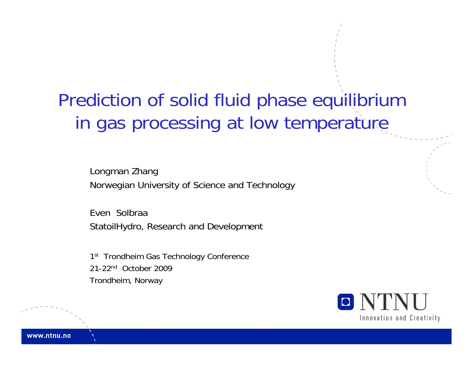Prediction of solid fluid phase equilibrium in gas processing at low temperature

Longman Zhang Norwegian University of Science and Technology

Even SolbraaStatoilHydro, Research and Development

1<sup>st</sup> Trondheim Gas Technology Conference 21-22nd October 2009Trondheim, Norway

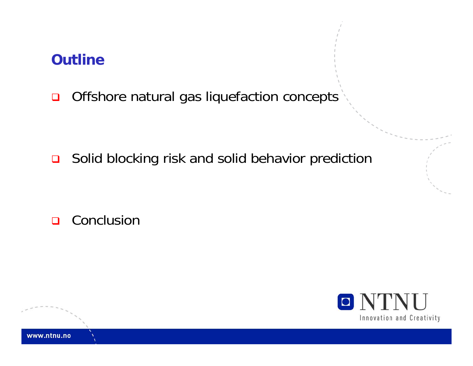#### **Outline**

 $\Box$ Offshore natural gas liquefaction concepts

■ Solid blocking risk and solid behavior prediction

**□** Conclusion

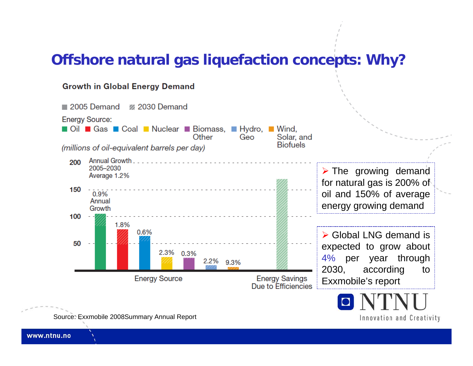#### **Offshore natural gas liquefaction concepts: Why?**

#### **Growth in Global Energy Demand**



Innovation and Creativity

Source: Exxmobile 2008Summary Annual Report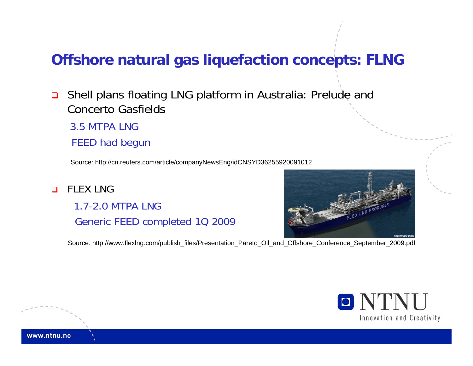#### **Offshore natural gas liquefaction concepts: FLNG**

 $\Box$  Shell plans floating LNG platform in Australia: Prelude and Concerto Gasfields

3.5 MTPA LNG

FEED had begun

Source: http://cn.reuters.com/article/companyNewsEng/idCNSYD36255920091012

 $\Box$  FLEX LNG 1.7-2.0 MTPA LNGGeneric FEED completed 1Q 2009



Source: http://www.flexlng.com/publish\_files/Presentation\_Pareto\_Oil\_and\_Offshore\_Conference\_September\_2009.pdf

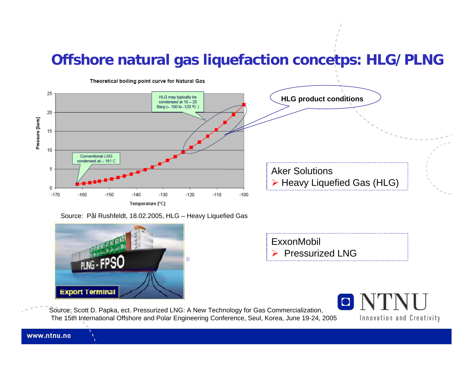#### **Offshore natural gas liquefaction concetps: HLG/PLNG**



Source: Pål Rushfeldt, 18.02.2005, HLG – Heavy Liquefied Gas





Source: Scott D. Papka, ect. Pressurized LNG: A New Technology for Gas Commercialization, The 15th International Offshore and Polar Engineering Conference, Seul, Korea, June 19-24, 2005

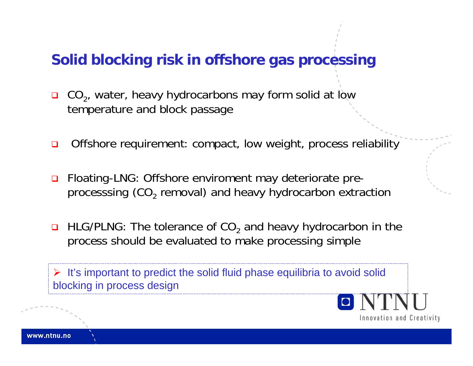#### **Solid blocking risk in offshore gas processing**

- $\Box$  $\Box$  CO<sub>2</sub>, water, heavy hydrocarbons may form solid at low temperature and block passage
- $\Box$ Offshore requirement: compact, low weight, process reliability
- $\Box$  Floating-LNG: Offshore enviroment may deteriorate preprocesssing (CO $_{\text{2}}$  removal) and heavy hydrocarbon extraction
- $\blacksquare$  HLG/PLNG: The tolerance of CO<sub>2</sub> and heavy hydrocarbon in the process should be evaluated to make processing simple

 $\triangleright$  It's important to predict the solid fluid phase equilibria to avoid solid blocking in process design

Innovation and Creativity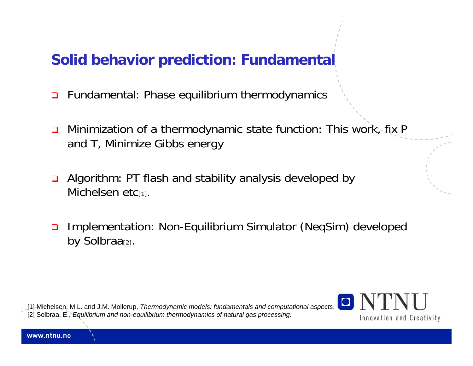## **Solid behavior prediction: Fundamental**

- $\Box$ Fundamental: Phase equilibrium thermodynamics
- $\Box$  Minimization of a thermodynamic state function: This work, fix P and T, Minimize Gibbs energy
- $\Box$  Algorithm: PT flash and stability analysis developed by Michelsen etc<sub>[1]</sub>.
- $\Box$  Implementation: Non-Equilibrium Simulator (NeqSim) developed by Solbraa<sub>[2]</sub>.

[1] Michelsen, M.L. and J.M. Mollerup, *Thermodynamic models: fundamentals and computational aspects*. [2] Solbraa, E., *Equilibrium and non-equilibrium thermodynamics of natural gas processing*.

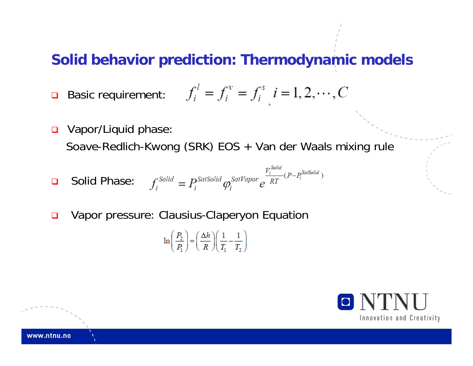#### **Solid behavior prediction: Thermodynamic models**

$$
\Box \quad \text{Basic requirement:} \qquad f_i^l = f_i^v = f_i^s \quad i = 1, 2, \cdots, C
$$

 $\Box$  Vapor/Liquid phase: Soave-Redlich-Kwong (SRK) EOS + Van der Waals mixing rule

$$
\Box \quad \text{Solid Phase:} \quad f_i^{\text{Solid}} = P_i^{\text{SatSolid}} \varphi_i^{\text{SatYapor}} e^{\frac{V_i^{\text{Solid}}}{RT}(P - P_i^{\text{SatSolid}})}
$$

 $\Box$ Vapor pressure: Clausius-Claperyon Equation

$$
\ln\left(\frac{P_2}{P_1}\right) = \left(\frac{\Delta h}{R}\right)\left(\frac{1}{T_1} - \frac{1}{T_2}\right)
$$

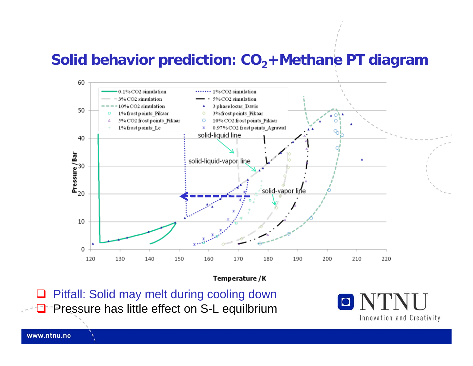#### **Solid behavior prediction: CO <sup>2</sup>+Methane PT diagram**



Temperature / K

 $\Box$  Pitfall: Solid may melt during cooling down **O** Pressure has little effect on S-L equilbrium

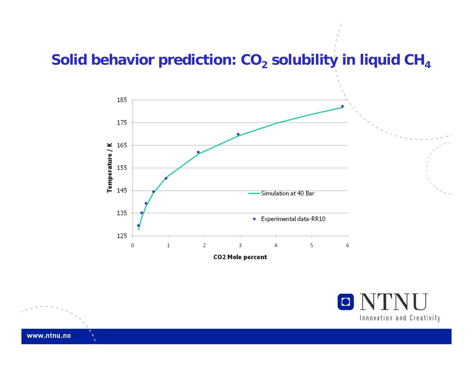#### **Solid behavior prediction: CO 2 solubility in liquid CH 4**



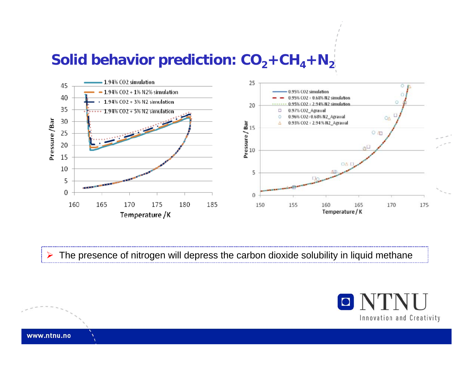## **Solid behavior prediction: CO <sup>2</sup>+CH <sup>4</sup>+N 2**



¾The presence of nitrogen will depress the carbon dioxide solubility in liquid methane

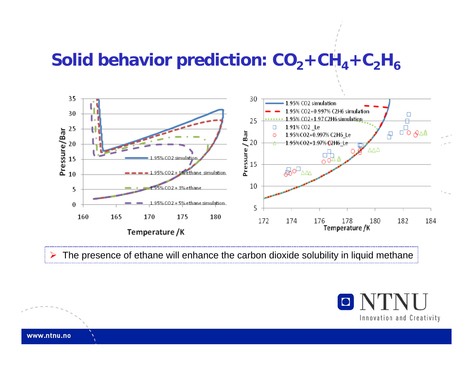## **Solid behavior prediction: CO <sup>2</sup>+CH <sup>4</sup>+C 2H 6**



¾The presence of ethane will enhance the carbon dioxide solubility in liquid methane

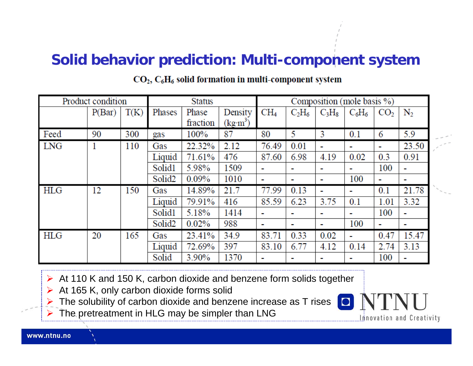#### **Solid behavior prediction: Multi-component system**

| Product condition |        |      | <b>Status</b>      |          |                      | Composition (mole basis %) |                          |                          |                          |                 |                          |
|-------------------|--------|------|--------------------|----------|----------------------|----------------------------|--------------------------|--------------------------|--------------------------|-----------------|--------------------------|
|                   | P(Bar) | T(K) | Phases             | Phase    | Density              | CH <sub>4</sub>            | $C_2H_6$                 | $C_3H_8$                 | $C_6H_6$                 | CO <sub>2</sub> | $N_2$                    |
|                   |        |      |                    | fraction | (kg·m <sup>3</sup> ) |                            |                          |                          |                          |                 |                          |
| Feed              | 90     | 300  | gas                | 100%     | 87                   | 80                         | 5                        | 3                        | 0.1                      | 6               | 5.9                      |
| <b>LNG</b>        | 1      | 110  | Gas                | 22.32%   | 2.12                 | 76.49                      | 0.01                     | н.                       | ٠                        | $\mathbf{r}$    | 23.50                    |
|                   |        |      | Liquid             | 71.61%   | 476                  | 87.60                      | 6.98                     | 4.19                     | 0.02                     | 0.3             | 0.91                     |
|                   |        |      | Solid1             | 5.98%    | 1509                 | $\mathbf{r}$               | $\overline{\phantom{a}}$ | ٠                        | $\overline{\phantom{a}}$ | 100             | ٠                        |
|                   |        |      | Solid <sub>2</sub> | $0.09\%$ | 1010                 |                            |                          | н.                       | 100                      |                 | $\overline{\phantom{a}}$ |
| <b>HLG</b>        | 12     | 150  | Gas                | 14.89%   | 21.7                 | 77.99                      | 0.13                     |                          |                          | 0.1             | 21.78                    |
|                   |        |      | Liquid             | 79.91%   | 416                  | 85.59                      | 6.23                     | 3.75                     | 0.1                      | 1.01            | 3.32                     |
|                   |        |      | Solid1             | 5.18%    | 1414                 | $\blacksquare$             |                          | ٠                        | $\blacksquare$           | 100             | $\overline{\phantom{a}}$ |
|                   |        |      | Solid <sub>2</sub> | 0.02%    | 988                  |                            | $\sim$                   | ٠                        | 100                      | ٠               | $\blacksquare$           |
| <b>HLG</b>        | 20     | 165  | Gas                | 23.41%   | 34.9                 | 83.71                      | 0.33                     | 0.02                     | $\blacksquare$           | 0.47            | 15.47                    |
|                   |        |      | Liquid             | 72.69%   | 397                  | 83.10                      | 6.77                     | 4.12                     | 0.14                     | 2.74            | 3.13                     |
|                   |        |      | Solid              | 3.90%    | 1370                 |                            | $\overline{\phantom{a}}$ | $\overline{\phantom{a}}$ | $\blacksquare$           | 100             | $\blacksquare$           |

#### $CO<sub>2</sub>, C<sub>6</sub>H<sub>6</sub>$  solid formation in multi-component system

¾ At 110 K and 150 K, carbon dioxide and benzene form solids together

- ¾At 165 K, only carbon dioxide forms solid
- ¾The solubility of carbon dioxide and benzene increase as T rises

¾The pretreatment in HLG may be simpler than LNG

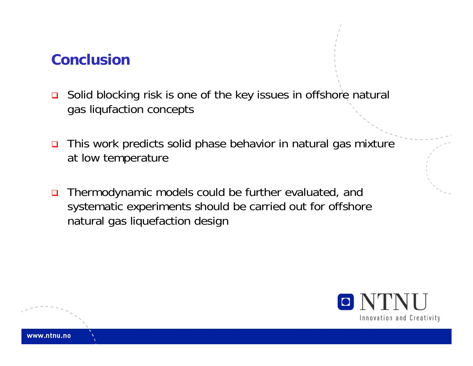#### **Conclusion**

- $\Box$  Solid blocking risk is one of the key issues in offshore natural gas liqufaction concepts
- $\Box$  This work predicts solid phase behavior in natural gas mixture at low temperature
- $\Box$  Thermodynamic models could be further evaluated, and systematic experiments should be carried out for offshore natural gas liquefaction design